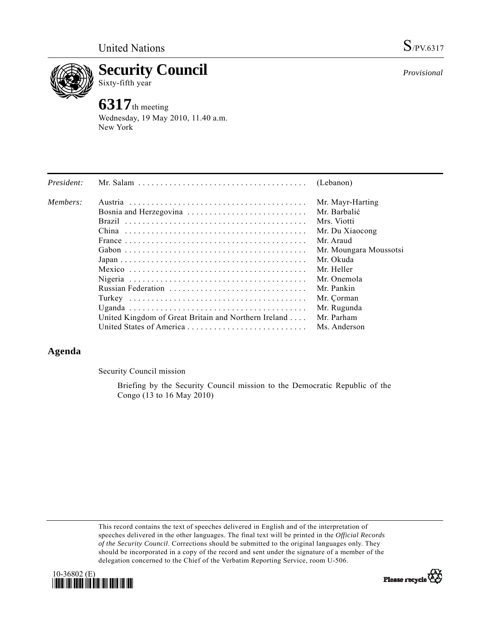

**Security Council**  Sixty-fifth year

# **6317**th meeting

Wednesday, 19 May 2010, 11.40 a.m. New York

| President: |                                                                                                         | (Lebanon)              |
|------------|---------------------------------------------------------------------------------------------------------|------------------------|
| Members:   |                                                                                                         | Mr. Mayr-Harting       |
|            |                                                                                                         | Mr. Barbalić           |
|            |                                                                                                         | Mrs. Viotti            |
|            |                                                                                                         | Mr. Du Xiaocong        |
|            |                                                                                                         | Mr. Araud              |
|            |                                                                                                         | Mr. Moungara Moussotsi |
|            | $Japan \dots \dots \dots \dots \dots \dots \dots \dots \dots \dots \dots \dots \dots \dots \dots \dots$ | Mr. Okuda              |
|            |                                                                                                         | Mr. Heller             |
|            |                                                                                                         | Mr. Onemola            |
|            |                                                                                                         | Mr. Pankin             |
|            |                                                                                                         | Mr. Çorman             |
|            |                                                                                                         | Mr. Rugunda            |
|            | United Kingdom of Great Britain and Northern Ireland                                                    | Mr. Parham             |
|            |                                                                                                         | Ms. Anderson           |

## **Agenda**

Security Council mission

 Briefing by the Security Council mission to the Democratic Republic of the Congo (13 to 16 May 2010)

This record contains the text of speeches delivered in English and of the interpretation of speeches delivered in the other languages. The final text will be printed in the *Official Records of the Security Council*. Corrections should be submitted to the original languages only. They should be incorporated in a copy of the record and sent under the signature of a member of the delegation concerned to the Chief of the Verbatim Reporting Service, room U-506.





*Provisional*

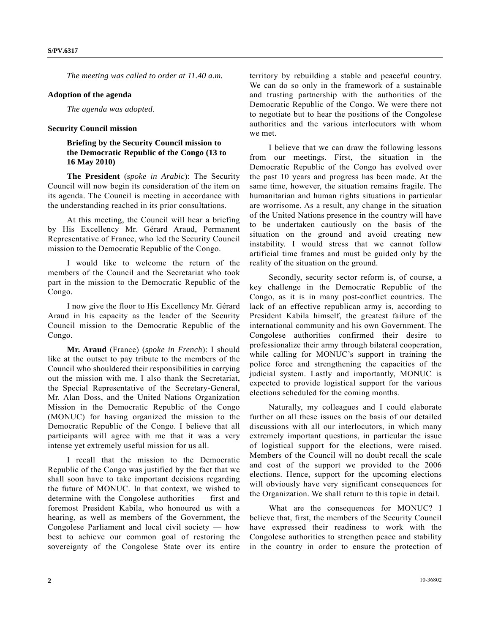*The meeting was called to order at 11.40 a.m.* 

#### **Adoption of the agenda**

*The agenda was adopted.* 

#### **Security Council mission**

### **Briefing by the Security Council mission to the Democratic Republic of the Congo (13 to 16 May 2010)**

**The President** (*spoke in Arabic*): The Security Council will now begin its consideration of the item on its agenda. The Council is meeting in accordance with the understanding reached in its prior consultations.

 At this meeting, the Council will hear a briefing by His Excellency Mr. Gérard Araud, Permanent Representative of France, who led the Security Council mission to the Democratic Republic of the Congo.

 I would like to welcome the return of the members of the Council and the Secretariat who took part in the mission to the Democratic Republic of the Congo.

 I now give the floor to His Excellency Mr. Gérard Araud in his capacity as the leader of the Security Council mission to the Democratic Republic of the Congo.

 **Mr. Araud** (France) (*spoke in French*): I should like at the outset to pay tribute to the members of the Council who shouldered their responsibilities in carrying out the mission with me. I also thank the Secretariat, the Special Representative of the Secretary-General, Mr. Alan Doss, and the United Nations Organization Mission in the Democratic Republic of the Congo (MONUC) for having organized the mission to the Democratic Republic of the Congo. I believe that all participants will agree with me that it was a very intense yet extremely useful mission for us all.

 I recall that the mission to the Democratic Republic of the Congo was justified by the fact that we shall soon have to take important decisions regarding the future of MONUC. In that context, we wished to determine with the Congolese authorities — first and foremost President Kabila, who honoured us with a hearing, as well as members of the Government, the Congolese Parliament and local civil society — how best to achieve our common goal of restoring the sovereignty of the Congolese State over its entire

territory by rebuilding a stable and peaceful country. We can do so only in the framework of a sustainable and trusting partnership with the authorities of the Democratic Republic of the Congo. We were there not to negotiate but to hear the positions of the Congolese authorities and the various interlocutors with whom we met.

 I believe that we can draw the following lessons from our meetings. First, the situation in the Democratic Republic of the Congo has evolved over the past 10 years and progress has been made. At the same time, however, the situation remains fragile. The humanitarian and human rights situations in particular are worrisome. As a result, any change in the situation of the United Nations presence in the country will have to be undertaken cautiously on the basis of the situation on the ground and avoid creating new instability. I would stress that we cannot follow artificial time frames and must be guided only by the reality of the situation on the ground.

 Secondly, security sector reform is, of course, a key challenge in the Democratic Republic of the Congo, as it is in many post-conflict countries. The lack of an effective republican army is, according to President Kabila himself, the greatest failure of the international community and his own Government. The Congolese authorities confirmed their desire to professionalize their army through bilateral cooperation, while calling for MONUC's support in training the police force and strengthening the capacities of the judicial system. Lastly and importantly, MONUC is expected to provide logistical support for the various elections scheduled for the coming months.

 Naturally, my colleagues and I could elaborate further on all these issues on the basis of our detailed discussions with all our interlocutors, in which many extremely important questions, in particular the issue of logistical support for the elections, were raised. Members of the Council will no doubt recall the scale and cost of the support we provided to the 2006 elections. Hence, support for the upcoming elections will obviously have very significant consequences for the Organization. We shall return to this topic in detail.

 What are the consequences for MONUC? I believe that, first, the members of the Security Council have expressed their readiness to work with the Congolese authorities to strengthen peace and stability in the country in order to ensure the protection of